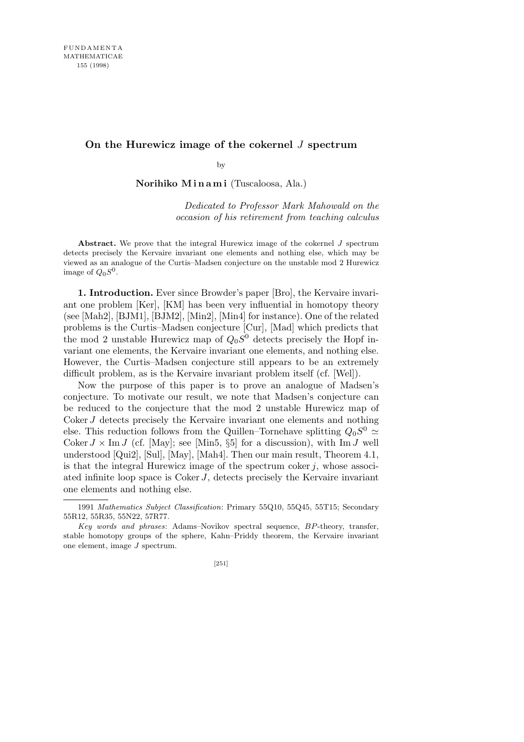## **On the Hurewicz image of the cokernel** *J* **spectrum**

by

**Norihiko M i n a m i** (Tuscaloosa, Ala.)

*Dedicated to Professor Mark Mahowald on the occasion of his retirement from teaching calculus*

**Abstract.** We prove that the integral Hurewicz image of the cokernel *J* spectrum detects precisely the Kervaire invariant one elements and nothing else, which may be viewed as an analogue of the Curtis–Madsen conjecture on the unstable mod 2 Hurewicz image of  $Q_0S^0$ .

**1. Introduction.** Ever since Browder's paper [Bro], the Kervaire invariant one problem [Ker], [KM] has been very influential in homotopy theory (see [Mah2], [BJM1], [BJM2], [Min2], [Min4] for instance). One of the related problems is the Curtis–Madsen conjecture [Cur], [Mad] which predicts that the mod 2 unstable Hurewicz map of  $Q_0S^0$  detects precisely the Hopf invariant one elements, the Kervaire invariant one elements, and nothing else. However, the Curtis–Madsen conjecture still appears to be an extremely difficult problem, as is the Kervaire invariant problem itself (cf. [Wel]).

Now the purpose of this paper is to prove an analogue of Madsen's conjecture. To motivate our result, we note that Madsen's conjecture can be reduced to the conjecture that the mod 2 unstable Hurewicz map of Coker *J* detects precisely the Kervaire invariant one elements and nothing else. This reduction follows from the Quillen–Tornehave splitting  $Q_0S^0 \simeq$ Coker  $J \times \text{Im } J$  (cf. [May]; see [Min5, §5] for a discussion), with Im  $J$  well understood [Qui2], [Sul], [May], [Mah4]. Then our main result, Theorem 4.1, is that the integral Hurewicz image of the spectrum coker  $j$ , whose associated infinite loop space is Coker *J*, detects precisely the Kervaire invariant one elements and nothing else.

<sup>1991</sup> *Mathematics Subject Classification*: Primary 55Q10, 55Q45, 55T15; Secondary 55R12, 55R35, 55N22, 57R77.

*Key words and phrases*: Adams–Novikov spectral sequence, *BP*-theory, transfer, stable homotopy groups of the sphere, Kahn–Priddy theorem, the Kervaire invariant one element, image *J* spectrum.

<sup>[251]</sup>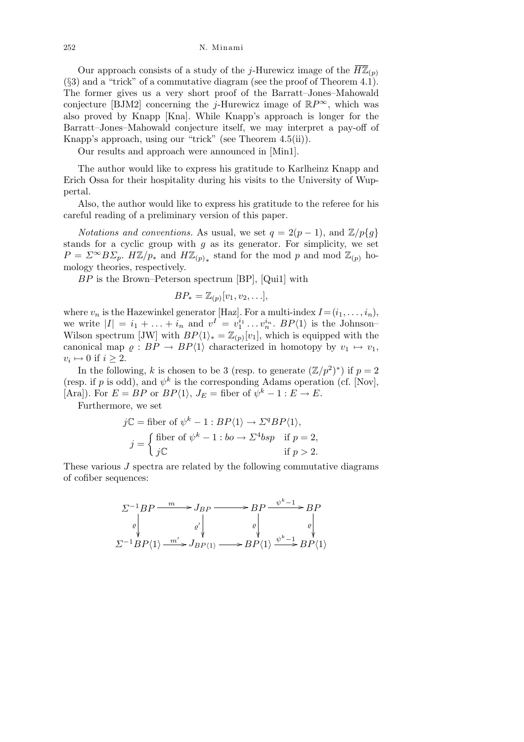252 N. Minami

Our approach consists of a study of the *j*-Hurewicz image of the  $\overline{H\mathbb{Z}}_{(p)}$ (*§*3) and a "trick" of a commutative diagram (see the proof of Theorem 4.1). The former gives us a very short proof of the Barratt–Jones–Mahowald conjecture [BJM2] concerning the *j*-Hurewicz image of  $\mathbb{R}P^{\infty}$ , which was also proved by Knapp [Kna]. While Knapp's approach is longer for the Barratt–Jones–Mahowald conjecture itself, we may interpret a pay-off of Knapp's approach, using our "trick" (see Theorem 4.5(ii)).

Our results and approach were announced in [Min1].

The author would like to express his gratitude to Karlheinz Knapp and Erich Ossa for their hospitality during his visits to the University of Wuppertal.

Also, the author would like to express his gratitude to the referee for his careful reading of a preliminary version of this paper.

*Notations and conventions.* As usual, we set  $q = 2(p-1)$ , and  $\mathbb{Z}/p\{q\}$ stands for a cyclic group with *g* as its generator. For simplicity, we set  $P = \Sigma^{\infty} B \Sigma_p$ .  $H\mathbb{Z}/p_*$  and  $H\mathbb{Z}_{(p)}$ <sup>\*</sup> stand for the mod *p* and mod  $\mathbb{Z}_{(p)}$  homology theories, respectively.

*BP* is the Brown–Peterson spectrum [BP], [Qui1] with

$$
BP_* = \mathbb{Z}_{(p)}[v_1, v_2, \ldots],
$$

where  $v_n$  is the Hazewinkel generator [Haz]. For a multi-index  $I = (i_1, \ldots, i_n)$ , we write  $|I| = i_1 + \ldots + i_n$  and  $v^I = v_1^{i_1} \ldots v_n^{i_n}$ .  $BP\langle 1 \rangle$  is the Johnson-Wilson spectrum [JW] with  $BP\langle 1 \rangle_* = \mathbb{Z}_{(p)}[v_1]$ , which is equipped with the canonical map  $\varrho : BP \to BP\langle 1 \rangle$  characterized in homotopy by  $v_1 \mapsto v_1$ ,  $v_i \mapsto 0$  if  $i \geq 2$ .

In the following, *k* is chosen to be 3 (resp. to generate  $(\mathbb{Z}/p^2)^*$ ) if  $p=2$ (resp. if *p* is odd), and  $\psi^k$  is the corresponding Adams operation (cf. [Nov], [Ara]). For  $E = BP$  or  $BP\langle 1 \rangle$ ,  $J_E = \text{fiber of } \psi^k - 1 : E \to E$ .

Furthermore, we set

$$
j\mathbb{C} = \text{fiber of } \psi^k - 1 : BP\langle 1 \rangle \to \Sigma^q BP\langle 1 \rangle,
$$
  

$$
j = \begin{cases} \text{fiber of } \psi^k - 1 : bo \to \Sigma^4 bsp & \text{if } p = 2, \\ j\mathbb{C} & \text{if } p > 2. \end{cases}
$$

These various *J* spectra are related by the following commutative diagrams of cofiber sequences:

$$
\Sigma^{-1}BP \xrightarrow{m} J_{BP} \longrightarrow BP \xrightarrow{\psi^{k-1}} BP
$$
  
\n
$$
\downarrow^{\varphi'} \qquad \qquad \downarrow^{\varphi'}
$$
  
\n
$$
\Sigma^{-1}BP\langle 1 \rangle \xrightarrow{m'} J_{BP\langle 1 \rangle} \longrightarrow BP\langle 1 \rangle \xrightarrow{\psi^{k-1}} BP\langle 1 \rangle
$$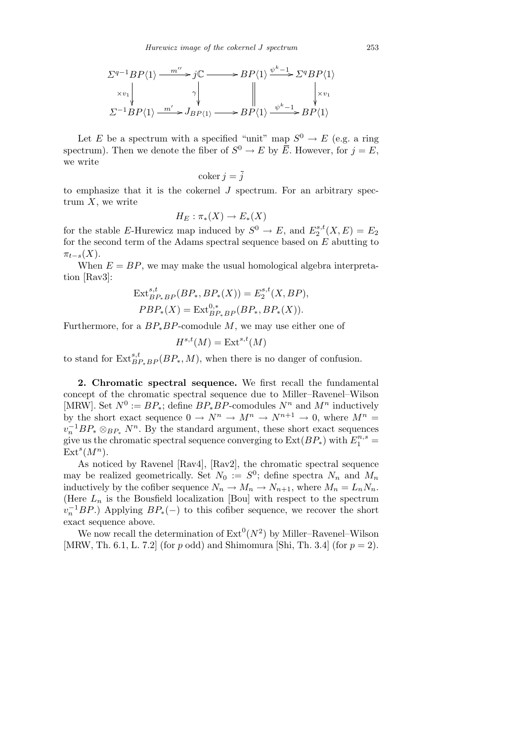$$
\Sigma^{q-1}BP\langle 1 \rangle \xrightarrow{m'' \to j\mathbb{C}} \longrightarrow BP\langle 1 \rangle \xrightarrow{\psi^{k-1} \to \Sigma^{q}BP\langle 1 \rangle} \times v_1 \downarrow \qquad \qquad \downarrow \qquad \qquad \downarrow \qquad \qquad \downarrow \qquad \qquad \downarrow \qquad \qquad \downarrow \qquad \qquad \downarrow \qquad \downarrow \qquad \downarrow \qquad \downarrow \qquad \downarrow \qquad \downarrow \qquad \downarrow \qquad \qquad \downarrow \qquad \downarrow \qquad \downarrow \qquad \downarrow \qquad \qquad \downarrow \qquad \downarrow \qquad \downarrow \qquad \downarrow \qquad \downarrow \qquad \downarrow \qquad \downarrow \qquad \downarrow \qquad \downarrow \qquad \downarrow \qquad \downarrow \qquad \downarrow \qquad \downarrow \qquad \downarrow \qquad \downarrow \qquad \downarrow \qquad \downarrow \qquad \downarrow \qquad \downarrow \qquad \downarrow \qquad \downarrow \qquad \downarrow \qquad \downarrow \qquad \downarrow \qquad \downarrow \qquad \downarrow \qquad \downarrow \qquad \downarrow \qquad \downarrow \qquad \downarrow \qquad \downarrow \qquad \downarrow \qquad \downarrow \qquad \downarrow \qquad \downarrow \qquad \downarrow \qquad \downarrow \qquad \downarrow \qquad \downarrow \qquad \downarrow \qquad \downarrow \qquad \downarrow \qquad \downarrow \qquad \downarrow \qquad \downarrow \qquad \downarrow \qquad \downarrow \qquad \downarrow \qquad \downarrow \qquad \downarrow \qquad \downarrow \qquad \downarrow \qquad \downarrow \qquad \downarrow \qquad \downarrow \qquad \downarrow \qquad \downarrow \qquad \downarrow \qquad \downarrow \qquad \downarrow \qquad \downarrow \qquad \downarrow \qquad \downarrow \qquad \downarrow \qquad \downarrow \qquad \downarrow \qquad \downarrow \qquad \downarrow \qquad \downarrow \qquad \downarrow \qquad \downarrow \qquad \downarrow \qquad \downarrow \qquad \downarrow \qquad \downarrow \qquad \downarrow \qquad \downarrow \qquad \downarrow \qquad \downarrow \qquad \downarrow \qquad \downarrow \qquad \downarrow \qquad \downarrow \qquad \downarrow \qquad \downarrow \qquad \downarrow \qquad \downarrow \qquad \downarrow \qquad \downarrow \qquad \downarrow \qquad \downarrow \qquad \downarrow \qquad \downarrow \qquad \downarrow \qquad \down
$$

Let *E* be a spectrum with a specified "unit" map  $S^0 \to E$  (e.g. a ring spectrum). Then we denote the fiber of  $S^0 \to E$  by  $\overline{E}$ . However, for  $j = E$ , we write

$$
\operatorname{coker} j = \overline{j}
$$

to emphasize that it is the cokernel *J* spectrum. For an arbitrary spectrum *X*, we write

$$
H_E: \pi_*(X) \to E_*(X)
$$

for the stable *E*-Hurewicz map induced by  $S^0 \to E$ , and  $E_2^{s,t}$  $E_2^{s,t}(X,E) = E_2$ for the second term of the Adams spectral sequence based on *E* abutting to  $\pi_{t-s}(X)$ .

When  $E = BP$ , we may make the usual homological algebra interpretation [Rav3]:

$$
\text{Ext}^{s,t}_{BP_*BP}(BP_*, BP_*(X)) = E_2^{s,t}(X, BP),
$$
  
\n
$$
PBP_*(X) = \text{Ext}^{0,*}_{BP_*BP}(BP_*, BP_*(X)).
$$

Furthermore, for a *BP∗BP*-comodule *M*, we may use either one of

$$
H^{s,t}(M) = \text{Ext}^{s,t}(M)
$$

to stand for  $\text{Ext}_{BP_*BP}^{s,t}(BP_*, M)$ , when there is no danger of confusion.

**2. Chromatic spectral sequence.** We first recall the fundamental concept of the chromatic spectral sequence due to Miller–Ravenel–Wilson [MRW]. Set  $N^0 := BP_*$ ; define  $BP_*BP$ -comodules  $N^n$  and  $M^n$  inductively by the short exact sequence  $0 \to N^n \to M^n \to N^{n+1} \to 0$ , where  $M^n =$  $v_n^{-1}BP_* \otimes_{BP_*} N^n$ . By the standard argument, these short exact sequences give us the chromatic spectral sequence converging to  $\text{Ext}(BP_*)$  with  $E_1^{n,s} =$  $\text{Ext}^s(M^n).$ 

As noticed by Ravenel [Rav4], [Rav2], the chromatic spectral sequence may be realized geometrically. Set  $N_0 := S^0$ ; define spectra  $N_n$  and  $M_n$ inductively by the cofiber sequence  $N_n \to M_n \to N_{n+1}$ , where  $M_n = L_n N_n$ . (Here  $L_n$  is the Bousfield localization [Bou] with respect to the spectrum  $v_n^{-1}BP$ .) Applying  $BP_*(-)$  to this cofiber sequence, we recover the short exact sequence above.

We now recall the determination of  $Ext^0(N^2)$  by Miller–Ravenel–Wilson [MRW, Th. 6.1, L. 7.2] (for *p* odd) and Shimomura [Shi, Th. 3.4] (for *p* = 2).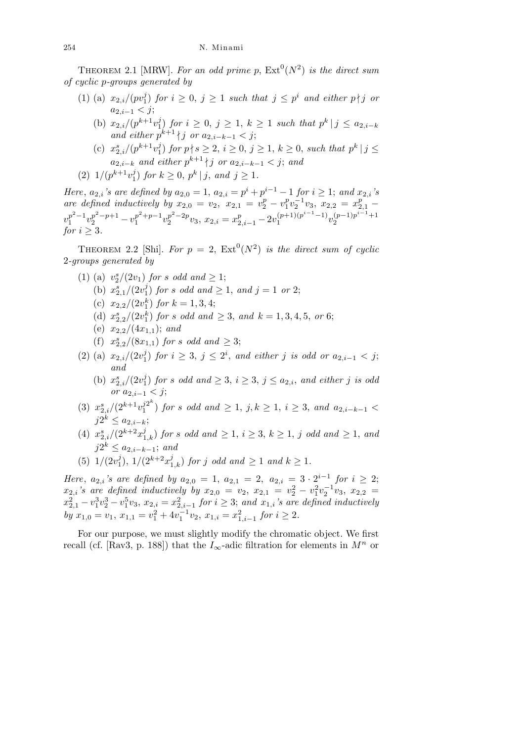THEOREM 2.1 [MRW]. For an odd prime p,  $Ext^0(N^2)$  is the direct sum *of cyclic p-groups generated by*

- $(1)$  (a)  $x_{2,i}/(pv_1^j)$  $j \choose 1$  *for*  $i \geq 0$ ,  $j \geq 1$  *such that*  $j \leq p^i$  *and either*  $p \nmid j$  *or a*2*,i−*<sup>1</sup> *< j*;
	- (b)  $x_{2,i}/(p^{k+1}v_1^j)$ *f*<sub>1</sub>) *for i* ≥ 0, *j* ≥ 1, *k* ≥ 1 *such that*  $p^k | j \le a_{2,i-k}$ *and either*  $p^{k+1}$  | *j or*  $a_{2,i-k-1} < j$ ;
	- (c)  $x_{2,i}^s/(p^{k+1}v_1^j)$  $j \choose 1$  *for*  $p \nmid s \geq 2, i \geq 0, j \geq 1, k \geq 0$ , *such that*  $p^k \mid j \leq 1$ *a*<sub>2</sub>*,i*−*k and either*  $p^{k+1} \nmid j$  *or*  $a_{2,i-k-1} < j$ ; *and*
- $(2)$  1/ $(p^{k+1}v_1^j)$  $j \choose 1$  *for*  $k \geq 0$ ,  $p^k | j$ , and  $j \geq 1$ .

Here,  $a_{2,i}$ 's are defined by  $a_{2,0} = 1$ ,  $a_{2,i} = p^i + p^{i-1} - 1$  for  $i \ge 1$ ; and  $x_{2,i}$ 's *are defined inductively by*  $x_{2,0} = v_2, x_{2,1} = v_2^p - v_1^p$  $\frac{p}{1}v_2^{-1}v_3, x_{2,2} = x_{2,1}^p$  $v_1^{p^2-1}$  $v_1^{p^2-1}v_2^{p^2-p+1} - v_1^{p^2+p-1}$  $v_1^{p^2+p-1}v_2^{p^2-2p}$  $x_2^{p^2-2p}v_3, x_{2,i} = x_{2,i-1}^p - 2v_1^{(p+1)(p^{i-1}-1)}$  $\frac{(p+1)(p^{i-1}-1)}{2}v_2^{(p-1)p^{i-1}+1}$ 2 *for*  $i \geq 3$ *.* 

THEOREM 2.2 [Shi]. For  $p = 2$ ,  $\text{Ext}^0(N^2)$  *is the direct sum of cyclic* 2*-groups generated by*

- (1) (a)  $v_2^s/(2v_1)$  *for s odd* and  $\geq 1$ ;
	- (b)  $x_{2,1}^s/(2v_1^j)$  $j$  for *s* odd and  $\geq 1$ , and  $j = 1$  or 2;
	- (c)  $x_{2,2}/(2v_1^k)$  *for*  $k = 1,3,4$ ;
	- (d)  $x_{2,2}^s/(2v_1^k)$  *for s odd and*  $\geq 3$ *, and*  $k = 1,3,4,5$ *, or* 6;
	- (e)  $x_{2,2}/(4x_{1,1})$ ; and
	- (f)  $x_{2,2}^s/(8x_{1,1})$  *for s odd and*  $\geq 3$ ;
- $(2)$  (a)  $x_{2,i}/(2v_1^j)$ *i*) *for i* ≥ 3, *j* ≤ 2<sup>*i*</sup>, *and either j is odd or*  $a_{2,i-1} < j$ ; *and*
	- (b)  $x_{2,i}^s/(2v_1^j)$  $\binom{1}{1}$  *for s odd* and  $\geq 3$ ,  $i \geq 3$ ,  $j \leq a_{2,i}$ , and *either j is odd or*  $a_{2,i-1} < j$ ;
- $(x_2^s, i/(2^{k+1}v_1^{j2^k}))$  $j^{2^{\omega}}$ ) *for s odd and*  $\geq 1$ , *j*,  $k \geq 1$ ,  $i \geq 3$ , *and*  $a_{2,i-k-1} <$ *j*2<sup>*k*</sup> ≤ *a*<sub>2*,i*−*k*;</sub>
- (4)  $x_{2,i}^s/(2^{k+2}x_{1,k}^j)$  *for s odd* and  $\geq 1$ ,  $i \geq 3$ ,  $k \geq 1$ , *j odd* and  $\geq 1$ , and *j*2<sup>*k*</sup> ≤ *a*<sub>2*,i*−*k*−1; *and*</sub>
- $(5)$  1/ $(2v_1^j)$  $1/2^{k+2}x_{1,k}^j$  *for j odd* and  $\geq 1$  *and*  $k \geq 1$ *.*

*Here*,  $a_{2,i}$ *'s are defined by*  $a_{2,0} = 1$ ,  $a_{2,1} = 2$ ,  $a_{2,i} = 3 \cdot 2^{i-1}$  for  $i \geq 2$ ;  $x_{2,i}$ 's are defined inductively by  $x_{2,0} = v_2, x_{2,1} = v_2^2 - v_1^2 v_2^{-1} v_3, x_{2,2} =$  $x_{2,1}^2 - v_1^3 v_2^3 - v_1^5 v_3$ ,  $x_{2,i} = x_{2,i-1}^2$  for  $i \geq 3$ ; and  $x_{1,i}$ 's are defined inductively  $by x_{1,0} = v_1, x_{1,1} = v_1^2 + 4v_1^{-1}v_2, x_{1,i} = x_{1,i-1}^2$  *for*  $i \ge 2$ *.* 

For our purpose, we must slightly modify the chromatic object. We first recall (cf. [Rav3, p. 188]) that the  $I_{\infty}$ -adic filtration for elements in  $M^n$  or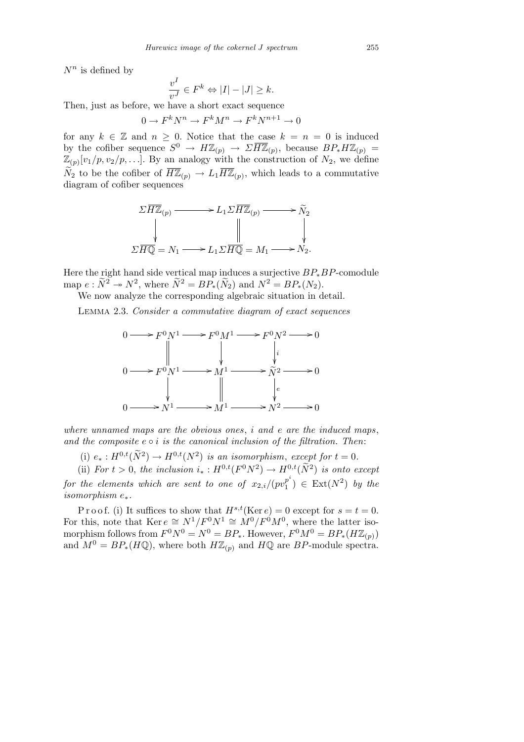$N^n$  is defined by

$$
\frac{v^I}{v^J} \in F^k \Leftrightarrow |I| - |J| \ge k.
$$

Then, just as before, we have a short exact sequence

 $0 \to F^k N^n \to F^k M^n \to F^k N^{n+1} \to 0$ 

for any  $k \in \mathbb{Z}$  and  $n \geq 0$ . Notice that the case  $k = n = 0$  is induced by the cofiber sequence  $S^0 \to H\mathbb{Z}_{(p)} \to \Sigma \overline{H\mathbb{Z}}_{(p)}$ , because  $BP_* H\mathbb{Z}_{(p)} =$  $\mathbb{Z}_{(p)}[v_1/p, v_2/p, \ldots]$ . By an analogy with the construction of  $N_2$ , we define  $\widetilde{N}_2$  to be the cofiber of  $\overline{H\mathbb{Z}}_{(p)} \to L_1 \overline{H\mathbb{Z}}_{(p)}$ , which leads to a commutative diagram of cofiber sequences



Here the right hand side vertical map induces a surjective *BP∗BP*-comodule map  $e: \widetilde{N}^2 \to N^2$ , where  $\widetilde{N}^2 = BP_*(\widetilde{N}_2)$  and  $N^2 = BP_*(N_2)$ .

We now analyze the corresponding algebraic situation in detail.

Lemma 2.3. *Consider a commutative diagram of exact sequences*



*where unnamed maps are the obvious ones*, *i and e are the induced maps*, and the composite  $e \circ i$  is the canonical inclusion of the filtration. Then:

(i)  $e_* : H^{0,t}(\widetilde{N}^2) \to H^{0,t}(N^2)$  *is an isomorphism, except for*  $t = 0$ *.* 

(ii) *For*  $t > 0$ , the inclusion  $i_* : H^{0,t}(F^0N^2) \to H^{0,t}(\tilde{N}^2)$  is onto except

*for the elements which are sent to one of*  $x_{2,i}/(pv_1^{p^i})$  $\binom{p^i}{1} \in \text{Ext}(N^2)$  by the *isomorphism e∗.*

P r o o f. (i) It suffices to show that  $H^{s,t}(\text{Ker }e) = 0$  except for  $s = t = 0$ . For this, note that  $\text{Ker } e \cong N^1/F^0N^1 \cong \overset{\circ}{M}^0/F^0M^0$ , where the latter isomorphism follows from  $F^0 N^0 = N^0 = BP_*$ . However,  $F^0 M^0 = BP_*(H\mathbb{Z}_{(p)})$ and  $M^0 = BP_*(H\mathbb{Q})$ , where both  $H\mathbb{Z}_{(p)}$  and  $H\mathbb{Q}$  are  $BP$ -module spectra.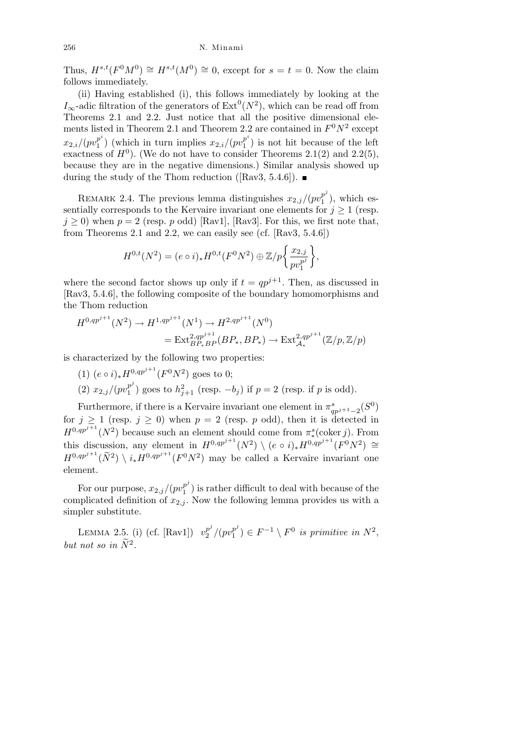Thus,  $H^{s,t}(F^0M^0) \cong H^{s,t}(M^0) \cong 0$ , except for  $s = t = 0$ . Now the claim follows immediately.

(ii) Having established (i), this follows immediately by looking at the  $I_{\infty}$ -adic filtration of the generators of  $\text{Ext}^{0}(N^{2})$ , which can be read off from Theorems 2.1 and 2.2. Just notice that all the positive dimensional elements listed in Theorem 2.1 and Theorem 2.2 are contained in  $F^0 N^2$  except  $x_{2,i}/(pv_1^{p^i})$  $\binom{p^i}{1}$  (which in turn implies  $x_{2,i}/(pv_1^{p^i})$  $\binom{p}{1}$  is not hit because of the left exactness of  $H^0$ ). (We do not have to consider Theorems 2.1(2) and 2.2(5), because they are in the negative dimensions.) Similar analysis showed up during the study of the Thom reduction ([Rav3, 5.4.6]).  $\blacksquare$ 

REMARK 2.4. The previous lemma distinguishes  $x_{2,j}/(pv_1^{p^j})$  $_1^{p'}$ ), which essentially corresponds to the Kervaire invariant one elements for  $j \geq 1$  (resp.  $j \geq 0$ ) when  $p = 2$  (resp. *p* odd) [Rav1], [Rav3]. For this, we first note that, from Theorems 2.1 and 2.2, we can easily see (cf.  $[Rav3, 5.4.6]$ )

$$
H^{0,t}(N^2) = (e \circ i)_* H^{0,t}(F^0N^2) \oplus \mathbb{Z}/p\bigg{\{\frac{x_{2,j}}{pv_1^{p^j}}\bigg\}},
$$

where the second factor shows up only if  $t = qp^{j+1}$ . Then, as discussed in [Rav3, 5.4.6], the following composite of the boundary homomorphisms and the Thom reduction

$$
H^{0,qp^{j+1}}(N^2) \to H^{1,qp^{j+1}}(N^1) \to H^{2,qp^{j+1}}(N^0)
$$
  
= Ext<sup>2,qp^{j+1}</sup><sub>BP<sub>\*</sub>BP</sub>(BP<sub>\*</sub>, BP<sub>\*</sub>)  $\to$  Ext<sup>2,qp^{j+1}</sup><sub>A<sub>\*</sub></sub>( $\mathbb{Z}/p, \mathbb{Z}/p$ )

is characterized by the following two properties:

 $(1)$   $(e \circ i)_* H^{0,qp^{j+1}}(F^0N^2)$  goes to 0;

 $(2)$   $x_{2,j}/(pv_1^{p^j})$  $j_1^{p^j}$ ) goes to  $h_{j+1}^2$  (resp. *−b<sub>j</sub>*) if  $p = 2$  (resp. if  $p$  is odd).

Furthermore, if there is a Kervaire invariant one element in  $\pi_{qp^{j+1}-2}^s(S^0)$ for  $j \ge 1$  (resp.  $j \ge 0$ ) when  $p = 2$  (resp. *p* odd), then it is detected in  $H^{0,qp^{j+1}}(N^2)$  because such an element should come from  $\pi_*^s$  (coker *j*). From this discussion, any element in  $H^{0,qp^{j+1}}(N^2) \setminus (e \circ i)_* H^{0,qp^{j+1}}(F^0N^2) \cong$  $H^{0,qp^{j+1}}(\widetilde{N}^2) \setminus i_*H^{0,qp^{j+1}}(F^0N^2)$  may be called a Kervaire invariant one element.

For our purpose,  $x_{2,j}/(pv_1^{p^j})$  $\binom{p}{1}$  is rather difficult to deal with because of the complicated definition of  $x_{2,j}$ . Now the following lemma provides us with a simpler substitute.

LEMMA 2.5. (i) (cf. [Rav1])  $v_2^{p^j}$  $\frac{p^j}{2}/(pv_1^{p^j})$  $F_1^{p^j}$ )  $\in F^{-1} \setminus F^0$  is primitive in  $N^2$ , *but not so in*  $\widetilde{N}^2$ .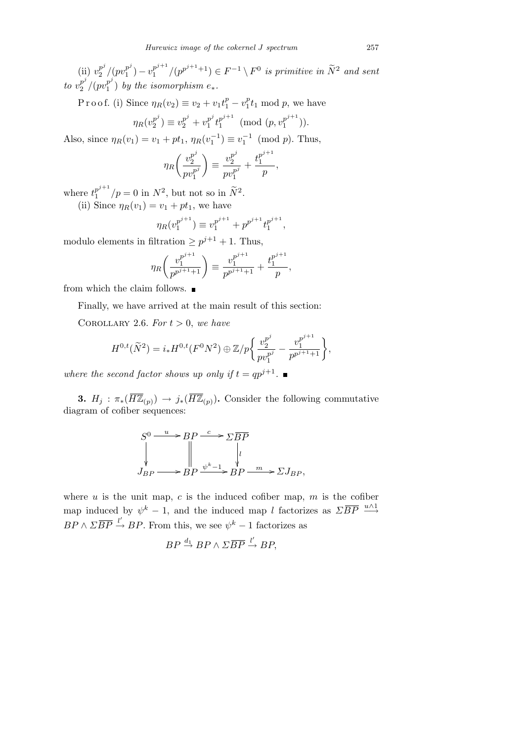$(i)$   $v_2^{p^j}$  $\frac{p^j}{2}/(p v_1^{p^j})$  $\binom{p^j}{1} - \upsilon_1^{p^{j+1}}$  $\int_{1}^{p^{j+1}}/(p^{p^{j+1}+1}) \in F^{-1} \setminus F^0$  *is primitive in*  $\widetilde{N}^2$  *and sent to*  $v_2^{p^j}$  $\frac{p^j}{2}/(pv_1^{p^j})$  $\binom{p}{1}$  by the isomorphism  $e_*$ .

 $\text{Proof.}$  (i) Since  $\eta_R(v_2) \equiv v_2 + v_1 t_1^p - v_1^p$  $_1^p t_1 \mod p$ , we have

$$
\eta_R(v_2^{p^j}) \equiv v_2^{p^j} + v_1^{p^j} t_1^{p^{j+1}} \pmod{(p,v_1^{p^{j+1}})}.
$$

Also, since  $\eta_R(v_1) = v_1 + pt_1$ ,  $\eta_R(v_1^{-1}) \equiv v_1^{-1} \pmod{p}$ . Thus,

$$
\eta_R\bigg(\frac{v_2^{p^j}}{pv_1^{p^j}}\bigg) \equiv \frac{v_2^{p^j}}{pv_1^{p^j}} + \frac{t_1^{p^{j+1}}}{p},
$$

where  $t_1^{p^{j+1}}$  $\int_{1}^{p^{j+1}}/p = 0$  in  $N^2$ , but not so in  $\tilde{N}^2$ .

(ii) Since  $\eta_R(v_1) = v_1 + pt_1$ , we have

$$
\eta_R(v_1^{p^{j+1}}) \equiv v_1^{p^{j+1}} + p^{p^{j+1}} t_1^{p^{j+1}},
$$

modulo elements in filtration  $\geq p^{j+1} + 1$ . Thus,

$$
\eta_R\bigg(\frac{v_1^{p^{j+1}}}{p^{p^{j+1}+1}}\bigg) \equiv \frac{v_1^{p^{j+1}}}{p^{p^{j+1}+1}} + \frac{t_1^{p^{j+1}}}{p},
$$

from which the claim follows.  $\blacksquare$ 

Finally, we have arrived at the main result of this section:

COROLLARY 2.6. For  $t > 0$ , we have

$$
H^{0,t}(\widetilde{N}^2) = i_*H^{0,t}(F^0N^2) \oplus \mathbb{Z}/p\bigg\{\frac{v_2^{p^j}}{pv_1^{p^j}} - \frac{v_1^{p^{j+1}}}{p^{p^{j+1}+1}}\bigg\},\,
$$

*where the second factor shows up only if*  $t = qp^{j+1}$ .

**3.**  $H_j$  :  $\pi_*(\overline{H\mathbb{Z}}_{(p)}) \to j_*(\overline{H\mathbb{Z}}_{(p)})$ . Consider the following commutative diagram of cofiber sequences:

$$
S^{0} \xrightarrow{u} BP \xrightarrow{c} \Sigma \overline{BP}
$$
\n
$$
\downarrow \qquad \qquad \downarrow \qquad \qquad \downarrow
$$
\n
$$
J_{BP} \xrightarrow{v^{k-1}} BP \xrightarrow{w} \Sigma J_{BP},
$$

where  $u$  is the unit map,  $c$  is the induced cofiber map,  $m$  is the cofiber map induced by  $\psi^k - 1$ , and the induced map *l* factorizes as  $\sum \overline{BP} \stackrel{u \wedge 1}{\longrightarrow}$  $BP \wedge \overline{B}$  $\overline{P} \stackrel{l'}{\rightarrow} BP$ . From this, we see  $\psi^k - 1$  factorizes as

$$
BP \stackrel{d_1}{\rightarrow} BP \wedge \Sigma \overline{BP} \stackrel{l'}{\rightarrow} BP,
$$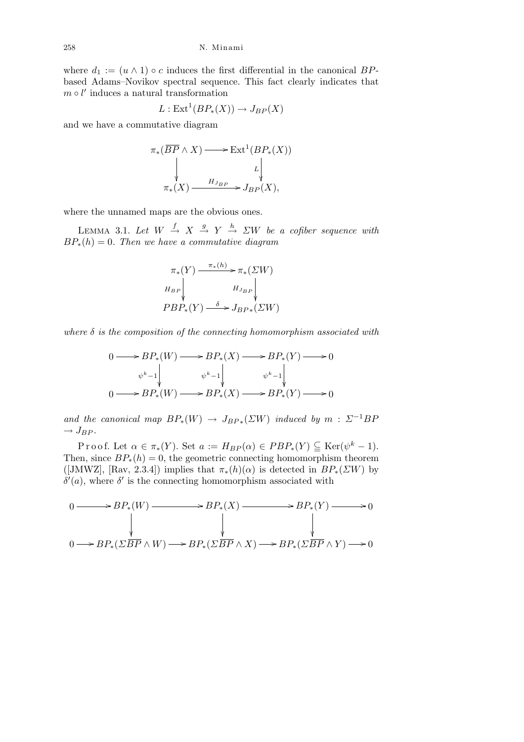where  $d_1 := (u \wedge 1) \circ c$  induces the first differential in the canonical *BP*based Adams–Novikov spectral sequence. This fact clearly indicates that  $m \circ l'$  induces a natural transformation

$$
L: \text{Ext}^1(BP_*(X)) \to J_{BP}(X)
$$

and we have a commutative diagram

$$
\pi_*(\overline{BP} \wedge X) \longrightarrow \text{Ext}^1(BP_*(X))
$$
  
\n
$$
\downarrow \qquad \qquad \downarrow
$$
  
\n
$$
\pi_*(X) \xrightarrow{H_{J_{BP}}} J_{BP}(X),
$$

where the unnamed maps are the obvious ones.

LEMMA 3.1. Let  $W \stackrel{f}{\rightarrow} X \stackrel{g}{\rightarrow} Y \stackrel{h}{\rightarrow} \Sigma W$  be a cofiber sequence with  $BP_*(h) = 0$ *. Then we have a commutative diagram* 

$$
\pi_*(Y) \xrightarrow{\pi_*(h)} \pi_*(\Sigma W)
$$
  
\n
$$
H_{BP} \downarrow \qquad H_{J_{BP}} \downarrow
$$
  
\n
$$
PBP_*(Y) \xrightarrow{\delta} J_{BP*}(\Sigma W)
$$

*where δ is the composition of the connecting homomorphism associated with*

$$
0 \longrightarrow BP_*(W) \longrightarrow BP_*(X) \longrightarrow BP_*(Y) \longrightarrow 0
$$
  
\n
$$
\begin{array}{ccc}\n\psi^k - 1 & \psi^k - 1 & \psi^k - 1 \\
0 & \longrightarrow BP_*(W) \longrightarrow BP_*(X) \longrightarrow BP_*(Y) \longrightarrow 0\n\end{array}
$$

*and the canonical map*  $BP_*(W) \rightarrow J_{BP_*}(ZW)$  *induced by*  $m : \Sigma^{-1}BP$  $\rightarrow$   $J_{BP}$ *.* 

 $\text{Proof.}$  Let  $\alpha \in \pi_*(Y)$ . Set  $a := H_{BP}(\alpha) \in PBP_*(Y) \subseteq \text{Ker}(\psi^k - 1)$ . Then, since  $BP_*(h) = 0$ , the geometric connecting homomorphism theorem ([JMWZ], [Rav, 2.3.4]) implies that  $\pi_*(h)(\alpha)$  is detected in  $BP_*(\Sigma W)$  by  $\delta'(a)$ , where  $\delta'$  is the connecting homomorphism associated with

$$
0 \longrightarrow BP_*(W) \longrightarrow BP_*(X) \longrightarrow BP_*(Y) \longrightarrow 0
$$
  
\n
$$
\downarrow \qquad \qquad \downarrow
$$
  
\n
$$
0 \longrightarrow BP_*(\Sigma \overline{BP} \land W) \longrightarrow BP_*(\Sigma \overline{BP} \land X) \longrightarrow BP_*(\Sigma \overline{BP} \land Y) \longrightarrow 0
$$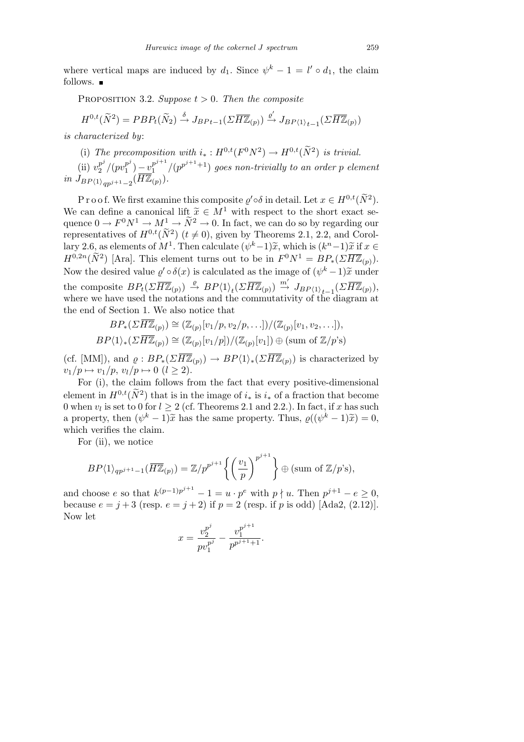where vertical maps are induced by  $d_1$ . Since  $\psi^k - 1 = l' \circ d_1$ , the claim follows.  $\blacksquare$ 

PROPOSITION 3.2. *Suppose*  $t > 0$ *. Then the composite* 

$$
H^{0,t}(\widetilde{N}^2) = PBP_t(\widetilde{N}_2) \xrightarrow{\delta} J_{BP}{}_{t-1}(\Sigma \overline{H\mathbb{Z}}_{(p)}) \xrightarrow{\varrho'} J_{BP\langle 1 \rangle}{}_{t-1}(\Sigma \overline{H\mathbb{Z}}_{(p)})
$$

*is characterized by*:

(i) The precomposition with  $i_* : H^{0,t}(F^0N^2) \to H^{0,t}(\tilde{N}^2)$  is trivial.

 $(i)$   $v_2^{p^j}$  $\frac{p^j}{2}/(pv_1^{p^j})$  $\binom{p^j}{1} - \upsilon_1^{p^{j+1}}$  $\int_{1}^{p^{j+1}}/(p^{p^{j+1}+1})$  goes non-trivially to an order p element  $in J_{BP(1)}_{qp^{j+1}-2}(\overline{HZ}_{(p)})$ .

P r o o f. We first examine this composite  $\varrho' \circ \delta$  in detail. Let  $x \in H^{0,t}(\widetilde{N}^2)$ . We can define a canonical lift  $\tilde{x} \in M^1$  with respect to the short exact sequence  $0 \to F^0 N^1 \to M^1 \to \tilde{N}^2 \to 0$ . In fact, we can do so by regarding our representatives of  $H^{0,t}(\tilde{N}^2)$  ( $t \neq 0$ ), given by Theorems 2.1, 2.2, and Corollary 2.6, as elements of  $M^1$ . Then calculate  $(\psi^k-1)\tilde{x}$ , which is  $(k^n-1)\tilde{x}$  if  $x \in$  $H^{0,2n}(\tilde{N}^2)$  [Ara]. This element turns out to be in  $F^0N^1 = BP_*(\Sigma \overline{HZ}_{(p)}).$ Now the desired value  $\varrho' \circ \delta(x)$  is calculated as the image of  $(\psi^k - 1)\tilde{x}$  under the composite  $BP_t(\Sigma \overline{H\mathbb{Z}}_{(p)}) \stackrel{\varrho}{\rightarrow} BP\langle 1 \rangle_t(\Sigma \overline{H\mathbb{Z}}_{(p)}) \stackrel{m'}{\rightarrow} J_{BP\langle 1 \rangle_{t-1}}(\Sigma \overline{H\mathbb{Z}}_{(p)}),$ where we have used the notations and the commutativity of the diagram at the end of Section 1. We also notice that

$$
BP_*(\Sigma \overline{H\mathbb{Z}}_{(p)}) \cong (\mathbb{Z}_{(p)}[v_1/p, v_2/p, \ldots]) / (\mathbb{Z}_{(p)}[v_1, v_2, \ldots]),
$$
  

$$
BP\langle 1 \rangle_*(\Sigma \overline{H\mathbb{Z}}_{(p)}) \cong (\mathbb{Z}_{(p)}[v_1/p]) / (\mathbb{Z}_{(p)}[v_1]) \oplus (\text{sum of } \mathbb{Z}/p\text{'s})
$$

(cf. [MM]), and  $\rho: BP_*(\Sigma \overline{H \mathbb{Z}}_{(p)}) \to BP\langle 1 \rangle_*(\Sigma \overline{H \mathbb{Z}}_{(p)})$  is characterized by  $v_1/p \mapsto v_1/p, v_l/p \mapsto 0 \ (l \geq 2).$ 

For (i), the claim follows from the fact that every positive-dimensional element in  $H^{0,t}(\tilde{N}^2)$  that is in the image of  $i_*$  is  $i_*$  of a fraction that become 0 when  $v_l$  is set to 0 for  $l \geq 2$  (cf. Theorems 2.1 and 2.2.). In fact, if *x* has such a property, then  $(\psi^k - 1)\tilde{x}$  has the same property. Thus,  $\varrho((\psi^k - 1)\tilde{x}) = 0$ , which verifies the claim.

For (ii), we notice

$$
BP\langle 1\rangle_{qp^{j+1}-1}(\overline{H\mathbb{Z}}_{(p)})=\mathbb{Z}/p^{p^{j+1}}\left\{\left(\frac{v_1}{p}\right)^{p^{j+1}}\right\}\oplus (\text{sum of }\mathbb{Z}/p\text{'s}),
$$

and choose *e* so that  $k^{(p-1)p^{j+1}} - 1 = u \cdot p^e$  with  $p \nmid u$ . Then  $p^{j+1} - e \geq 0$ , because  $e = j + 3$  (resp.  $e = j + 2$ ) if  $p = 2$  (resp. if *p* is odd) [Ada2, (2.12)]. Now let

$$
x = \frac{v_2^{p^j}}{pv_1^{p^j}} - \frac{v_1^{p^{j+1}}}{p^{p^{j+1}+1}}.
$$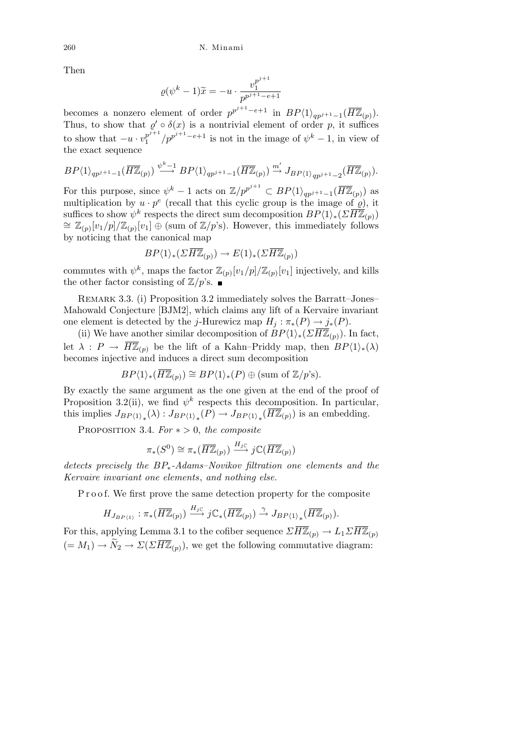Then

$$
\varrho(\psi^k - 1)\widetilde{x} = -u \cdot \frac{v_1^{p^{j+1}}}{p^{p^{j+1}-e+1}}
$$

becomes a nonzero element of order  $p^{p^{j+1}-e+1}$  in  $BP\langle 1 \rangle_{qp^{j+1}-1}(\overline{H\mathbb{Z}}_{(p)})$ . Thus, to show that  $\rho' \circ \delta(x)$  is a nontrivial element of order p, it suffices to show that  $-u \cdot v_1^{p^{j+1}}$  $\int_{1}^{p^{j+1}} / p^{p^{j+1}-e+1}$  is not in the image of  $\psi^k - 1$ , in view of the exact sequence

$$
BP\langle 1\rangle_{qp^{j+1}-1}(\overline{H\mathbb{Z}}_{(p)})\stackrel{\psi^k-1}{\longrightarrow} BP\langle 1\rangle_{qp^{j+1}-1}(\overline{H\mathbb{Z}}_{(p)})\stackrel{m'}{\longrightarrow}J_{BP\langle 1\rangle_{qp^{j+1}-2}}(\overline{H\mathbb{Z}}_{(p)}).
$$

For this purpose, since  $\psi^k - 1$  acts on  $\mathbb{Z}/p^{p^{j+1}} \subset BP\langle 1 \rangle_{qp^{j+1}-1}(\overline{H\mathbb{Z}}_{(p)})$  as multiplication by  $u \cdot p^e$  (recall that this cyclic group is the image of  $\rho$ ), it suffices to show  $\psi^k$  respects the direct sum decomposition  $BP\langle 1 \rangle_*(\Sigma \overline{H\mathbb{Z}}_{(p)})$  $\cong \mathbb{Z}_{(p)}[v_1/p]/\mathbb{Z}_{(p)}[v_1] \oplus \text{(sum of }\mathbb{Z}/p\text{'s)}$ . However, this immediately follows by noticing that the canonical map

$$
BP\langle 1 \rangle_* (\Sigma \overline{H\mathbb{Z}}_{(p)}) \to E(1)_* (\Sigma \overline{H\mathbb{Z}}_{(p)})
$$

commutes with  $\psi^k$ , maps the factor  $\mathbb{Z}_{(p)}[v_1/p]/\mathbb{Z}_{(p)}[v_1]$  injectively, and kills the other factor consisting of  $\mathbb{Z}/p$ 's.

Remark 3.3. (i) Proposition 3.2 immediately solves the Barratt–Jones– Mahowald Conjecture [BJM2], which claims any lift of a Kervaire invariant one element is detected by the *j*-Hurewicz map  $H_i : \pi_*(P) \to j_*(P)$ .

(ii) We have another similar decomposition of  $BP\langle 1 \rangle_*(\Sigma H\mathbb{Z}_{(p)})$ . In fact, let  $\lambda$ :  $P \rightarrow \overline{H\mathbb{Z}}_{(p)}$  be the lift of a Kahn–Priddy map, then  $BP\langle 1 \rangle_*(\lambda)$ becomes injective and induces a direct sum decomposition

$$
BP\langle 1\rangle_*(\overline{H\mathbb{Z}}_{(p)})\cong BP\langle 1\rangle_*(P)\oplus (\text{sum of }\mathbb{Z}/p\text{'s}).
$$

By exactly the same argument as the one given at the end of the proof of Proposition 3.2(ii), we find  $\psi^k$  respects this decomposition. In particular, this implies  $J_{BP\langle 1 \rangle_*}(\lambda) : J_{BP\langle 1 \rangle_*}(P) \to J_{BP\langle 1 \rangle_*}(\overline{H \mathbb{Z}}_{(p)})$  is an embedding.

PROPOSITION 3.4.  $For * > 0$ , the composite

$$
\pi_*(S^0) \cong \pi_*(\overline{H\mathbb{Z}}_{(p)}) \stackrel{H_j\subset}{\longrightarrow} j\mathbb{C}(\overline{H\mathbb{Z}}_{(p)})
$$

*detects precisely the BP∗-Adams–Novikov filtration one elements and the Kervaire invariant one elements*, *and nothing else.*

P r o o f. We first prove the same detection property for the composite

$$
H_{J_{BP\langle 1\rangle}}:\pi_*(\overline{H\mathbb{Z}}_{(p)})\xrightarrow{H_{j\mathbb{C}}}j\mathbb{C}_*(\overline{H\mathbb{Z}}_{(p)})\xrightarrow{\gamma}J_{BP\langle 1\rangle_*}(\overline{H\mathbb{Z}}_{(p)}).
$$

For this, applying Lemma 3.1 to the cofiber sequence  $\sum \overline{H\mathbb{Z}}_{(p)} \to L_1 \sum \overline{H\mathbb{Z}}_{(p)}$  $(= M_1) \rightarrow \widetilde{N}_2 \rightarrow \Sigma(\Sigma \overline{H\mathbb{Z}}_{(p)})$ , we get the following commutative diagram: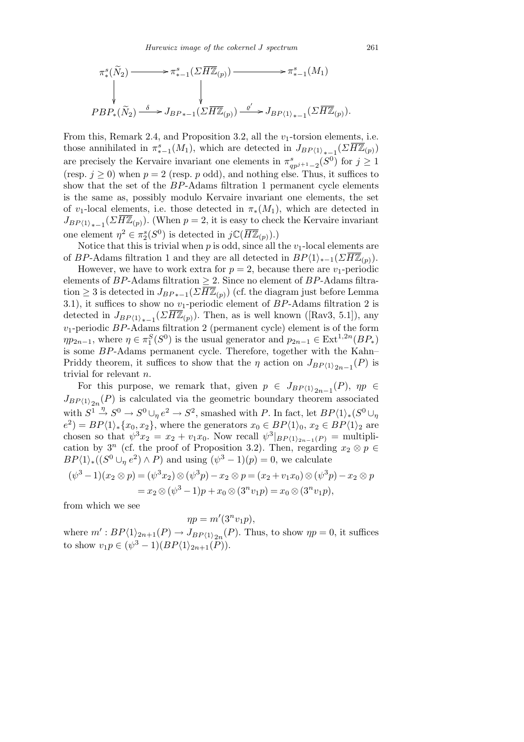$$
\pi_*^s(\widetilde{N}_2) \longrightarrow \pi_{*-1}^s(\Sigma \overline{H\mathbb{Z}}_{(p)}) \longrightarrow \pi_{*-1}^s(M_1)
$$
\n
$$
\downarrow \qquad \qquad \downarrow
$$
\n
$$
PBP_*(\widetilde{N}_2) \xrightarrow{\delta} J_{BP_{*-1}}(\Sigma \overline{H\mathbb{Z}}_{(p)}) \xrightarrow{\varrho'} J_{BP\langle 1 \rangle_{*-1}}(\Sigma \overline{H\mathbb{Z}}_{(p)}).
$$

From this, Remark 2.4, and Proposition 3.2, all the  $v_1$ -torsion elements, i.e. those annihilated in  $\pi^s_{*-1}(M_1)$ , which are detected in  $J_{BP\langle 1 \rangle_{*-1}}(\Sigma \overline{H \mathbb{Z}}_{(p)})$ are precisely the Kervaire invariant one elements in  $\pi_{qp^j+1}^s(S^0)$  for  $j \geq 1$ (resp.  $j \geq 0$ ) when  $p = 2$  (resp. *p* odd), and nothing else. Thus, it suffices to show that the set of the *BP*-Adams filtration 1 permanent cycle elements is the same as, possibly modulo Kervaire invariant one elements, the set of *v*<sub>1</sub>-local elements, i.e. those detected in  $\pi_*(M_1)$ , which are detected in  $J_{BP\langle 1 \rangle_{*-1}}(\Sigma \overline{H \mathbb{Z}}_{(p)})$ . (When *p* = 2, it is easy to check the Kervaire invariant one element  $\eta^2 \in \pi_2^s(S^0)$  is detected in  $j\mathbb{C}(\overline{H\mathbb{Z}}_{(p)}).$ 

Notice that this is trivial when  $p$  is odd, since all the  $v_1$ -local elements are of *BP*-Adams filtration 1 and they are all detected in  $BP\langle 1 \rangle_{*-1}(\Sigma \overline{H\mathbb{Z}}_{(p)})$ .

However, we have to work extra for  $p = 2$ , because there are  $v_1$ -periodic elements of *BP*-Adams filtration *≥* 2. Since no element of *BP*-Adams filtration  $\geq$  3 is detected in  $J_{BP*-1}(\Sigma \overline{H\mathbb{Z}}_{(p)})$  (cf. the diagram just before Lemma 3.1), it suffices to show no *v*1-periodic element of *BP*-Adams filtration 2 is detected in  $J_{BP\langle 1 \rangle_{*-1}}(\Sigma \overline{H \mathbb{Z}}_{(p)})$ . Then, as is well known ([Rav3, 5.1]), any  $v_1$ -periodic *BP*-Adams filtration 2 (permanent cycle) element is of the form  $\eta p_{2n-1}$ , where  $\eta \in \pi_1^S(S^0)$  is the usual generator and  $p_{2n-1} \in \text{Ext}^{1,2n}(BP_*)$ is some *BP*-Adams permanent cycle. Therefore, together with the Kahn– Priddy theorem, it suffices to show that the *η* action on  $J_{BP(1)}_{2n-1}(P)$  is trivial for relevant *n*.

For this purpose, we remark that, given  $p \in J_{BP\langle 1 \rangle_{2n-1}}(P)$ ,  $\eta p \in$  $J_{BP(1)}_{2n}(P)$  is calculated via the geometric boundary theorem associated with  $S^1 \stackrel{\eta}{\rightarrow} S^0 \rightarrow S^0 \cup_p e^2 \rightarrow S^2$ , smashed with *P*. In fact, let  $BP\langle 1 \rangle_*(S^0 \cup_p e^2 \rangle_*(S^1 \cup_p e^2 \rightarrow S^2)$  $e^{2}$  = *BP* $\langle 1 \rangle_{*}$  {*x*<sub>0</sub>*, x*<sub>2</sub>}, where the generators *x*<sub>0</sub>  $\in$  *BP* $\langle 1 \rangle_{0}$ *, x*<sub>2</sub>  $\in$  *BP* $\langle 1 \rangle_{2}$  are chosen so that  $\psi^3 x_2 = x_2 + v_1 x_0$ . Now recall  $\psi^3|_{BP(1)_{2n-1}(P)} =$  multiplication by  $3^n$  (cf. the proof of Proposition 3.2). Then, regarding  $x_2 \otimes p \in$  $BP\langle 1 \rangle_*($  ( $(S^0 \cup_p e^2) \wedge P$ ) and using  $(\psi^3 - 1)(p) = 0$ , we calculate

$$
(\psi^3 - 1)(x_2 \otimes p) = (\psi^3 x_2) \otimes (\psi^3 p) - x_2 \otimes p = (x_2 + v_1 x_0) \otimes (\psi^3 p) - x_2 \otimes p
$$
  
=  $x_2 \otimes (\psi^3 - 1)p + x_0 \otimes (3^n v_1 p) = x_0 \otimes (3^n v_1 p),$ 

from which we see

$$
\eta p = m'(3^n v_1 p),
$$

where  $m' : BP\langle 1 \rangle_{2n+1}(P) \to J_{BP\langle 1 \rangle_{2n}}(P)$ . Thus, to show  $\eta p = 0$ , it suffices to show  $v_1p \in (\psi^3 - 1)(BP\langle 1 \rangle_{2n+1}(\overline{P})).$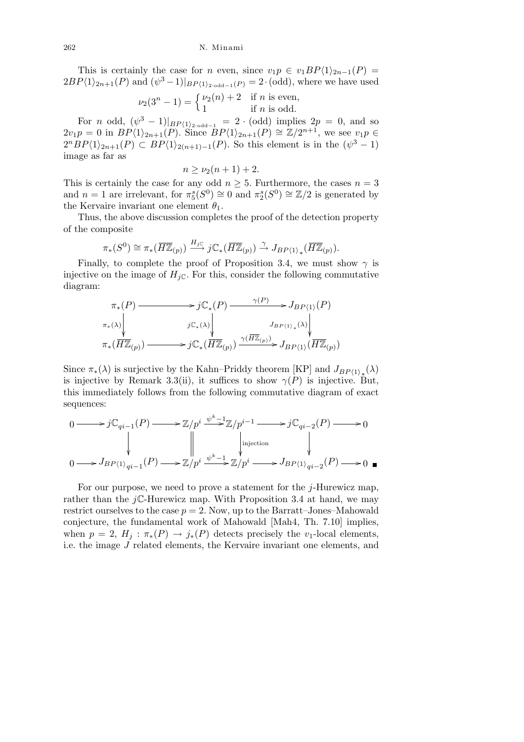This is certainly the case for *n* even, since  $v_1p \in v_1BP\langle 1 \rangle_{2n-1}(P) =$  $2BP\langle 1 \rangle_{2n+1}(P)$  and  $(\psi^3 - 1)|_{BP\langle 1 \rangle_{2 \text{ odd}-1}(P)} = 2 \cdot (\text{odd})$ , where we have used

$$
\nu_2(3^n - 1) = \begin{cases} \nu_2(n) + 2 & \text{if } n \text{ is even,} \\ 1 & \text{if } n \text{ is odd.} \end{cases}
$$

For *n* odd,  $(\psi^3 - 1)|_{BP(1)_2 \text{ odd}-1} = 2 \cdot (\text{odd})$  implies  $2p = 0$ , and so  $2v_1p = 0$  in  $BP\langle 1 \rangle_{2n+1}(P)$ . Since  $BP\langle 1 \rangle_{2n+1}(P) \cong \mathbb{Z}/2^{n+1}$ , we see  $v_1p \in \mathbb{Z}/2^{n+1}$  $2^{n}BP\langle 1 \rangle_{2n+1}(P) \subset BP\langle 1 \rangle_{2(n+1)-1}(P)$ . So this element is in the  $(\psi^3 - 1)$ image as far as

$$
n \ge \nu_2(n+1) + 2.
$$

This is certainly the case for any odd  $n \geq 5$ . Furthermore, the cases  $n = 3$ and  $n = 1$  are irrelevant, for  $\pi_5^s(S^0) \cong 0$  and  $\pi_2^s(S^0) \cong \mathbb{Z}/2$  is generated by the Kervaire invariant one element  $\theta_1$ .

Thus, the above discussion completes the proof of the detection property of the composite

$$
\pi_*(S^0) \cong \pi_*(\overline{H\mathbb{Z}}_{(p)}) \xrightarrow{H_{j\mathbb{C}}} j\mathbb{C}_*(\overline{H\mathbb{Z}}_{(p)}) \xrightarrow{\gamma} J_{BP\langle 1 \rangle_*}(\overline{H\mathbb{Z}}_{(p)}).
$$

Finally, to complete the proof of Proposition 3.4, we must show  $\gamma$  is injective on the image of  $H_{i\mathbb{C}}$ . For this, consider the following commutative diagram:

$$
\pi_*(P) \longrightarrow j\mathbb{C}_*(P) \longrightarrow J_{BP\langle 1\rangle}(P)
$$
\n
$$
\pi_*(\lambda) \downarrow \qquad \qquad j\mathbb{C}_*(\lambda) \downarrow \qquad \qquad J_{BP\langle 1\rangle}(X) \downarrow \qquad \qquad J_{BP\langle 1\rangle}(X) \downarrow \qquad \qquad J_{BP\langle 1\rangle}(X) \downarrow \qquad \qquad J_{BP\langle 1\rangle}(Y) \longrightarrow j\mathbb{C}_*(\overline{H\mathbb{Z}}_{(p)}) \longrightarrow j\mathbb{C}_*(\overline{H\mathbb{Z}}_{(p)}) \longrightarrow J_{BP\langle 1\rangle}(\overline{H\mathbb{Z}}_{(p)})
$$

Since  $\pi_*(\lambda)$  is surjective by the Kahn–Priddy theorem [KP] and  $J_{BP\langle 1 \rangle_*}(\lambda)$ is injective by Remark 3.3(ii), it suffices to show  $\gamma(P)$  is injective. But, this immediately follows from the following commutative diagram of exact sequences:

$$
0 \longrightarrow j\mathbb{C}_{qi-1}(P) \longrightarrow \mathbb{Z}/p^{i} \xrightarrow{\psi^{k}-1} \mathbb{Z}/p^{i-1} \longrightarrow j\mathbb{C}_{qi-2}(P) \longrightarrow 0
$$
  
\n
$$
\downarrow \qquad \qquad \downarrow \qquad \qquad \downarrow \qquad \qquad \downarrow
$$
  
\n
$$
0 \longrightarrow J_{BP\langle 1 \rangle_{qi-1}}(P) \longrightarrow \mathbb{Z}/p^{i} \xrightarrow{\psi^{k}-1} \mathbb{Z}/p^{i} \longrightarrow J_{BP\langle 1 \rangle_{qi-2}}(P) \longrightarrow 0 \quad \blacksquare
$$

For our purpose, we need to prove a statement for the *j*-Hurewicz map, rather than the  $jC$ -Hurewicz map. With Proposition 3.4 at hand, we may restrict ourselves to the case  $p = 2$ . Now, up to the Barratt–Jones–Mahowald conjecture, the fundamental work of Mahowald [Mah4, Th. 7.10] implies, when  $p = 2$ ,  $H_j : \pi_*(P) \to j_*(P)$  detects precisely the *v*<sub>1</sub>-local elements, i.e. the image *J* related elements, the Kervaire invariant one elements, and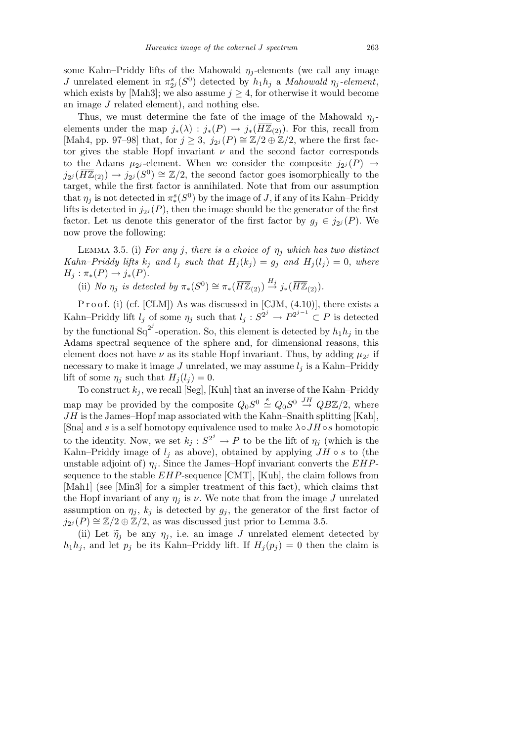some Kahn–Priddy lifts of the Mahowald  $\eta_i$ -elements (we call any image *J* unrelated element in  $\pi_{2i}^s(S^0)$  detected by  $h_1h_j$  a *Mahowald*  $\eta_j$ -element, which exists by [Mah3]; we also assume  $j \geq 4$ , for otherwise it would become an image *J* related element), and nothing else.

Thus, we must determine the fate of the image of the Mahowald  $\eta_i$ elements under the map  $j_*(\lambda) : j_*(P) \to j_*(H\mathbb{Z}_{(2)})$ . For this, recall from [Mah4, pp. 97–98] that, for  $j \geq 3$ ,  $j_{2j}(P) \cong \mathbb{Z}/2 \oplus \mathbb{Z}/2$ , where the first factor gives the stable Hopf invariant  $\nu$  and the second factor corresponds to the Adams  $\mu_{2}$ -element. When we consider the composite  $j_{2}$  (P)  $\rightarrow$  $j_{2i}(\overline{H\mathbb{Z}}_{(2)}) \to j_{2i}(S^0) \cong \mathbb{Z}/2$ , the second factor goes isomorphically to the target, while the first factor is annihilated. Note that from our assumption that  $\eta_j$  is not detected in  $\pi_*^s(S^0)$  by the image of *J*, if any of its Kahn–Priddy lifts is detected in  $j_{2i}(P)$ , then the image should be the generator of the first factor. Let us denote this generator of the first factor by  $g_j \in j_{2j}(P)$ . We now prove the following:

LEMMA 3.5. (i) *For any j*, *there is a choice of*  $\eta_j$  *which has two distinct Kahn–Priddy lifts*  $k_j$  *and*  $l_j$  *such that*  $H_j(k_j) = g_j$  *and*  $H_j(l_j) = 0$ *, where*  $H_j: \pi_*(P) \to j_*(P).$ 

(ii) *No*  $\eta_j$  *is detected by*  $\pi_*(S^0) \cong \pi_*(\overline{H\mathbb{Z}}_{(2)}) \stackrel{H_j}{\to} j_*(\overline{H\mathbb{Z}}_{(2)})$ *.* 

P r o o f. (i) (cf. [CLM]) As was discussed in [CJM,  $(4.10)$ ], there exists a Kahn–Priddy lift  $l_j$  of some  $\eta_j$  such that  $l_j: S^{2^j} \to P^{2^{j-1}} \subset P$  is detected by the functional  $Sq^{2^j}$ -operation. So, this element is detected by  $h_1 h_j$  in the Adams spectral sequence of the sphere and, for dimensional reasons, this element does not have  $\nu$  as its stable Hopf invariant. Thus, by adding  $\mu_{2}$  if necessary to make it image  $J$  unrelated, we may assume  $l_j$  is a Kahn–Priddy lift of some  $\eta_i$  such that  $H_i(l_i) = 0$ .

To construct  $k_j$ , we recall [Seg], [Kuh] that an inverse of the Kahn–Priddy map may be provided by the composite  $Q_0S^0 \stackrel{s}{\simeq} Q_0S^0 \stackrel{JH}{\to} QB\mathbb{Z}/2$ , where *JH* is the James–Hopf map associated with the Kahn–Snaith splitting [Kah], [Sna] and *s* is a self homotopy equivalence used to make *λ◦JH ◦s* homotopic to the identity. Now, we set  $k_j : S^{2^j} \to P$  to be the lift of  $\eta_j$  (which is the Kahn–Priddy image of  $l_j$  as above), obtained by applying  $JH \circ s$  to (the unstable adjoint of)  $\eta_i$ . Since the James–Hopf invariant converts the *EHP*sequence to the stable *EHP*-sequence [CMT], [Kuh], the claim follows from [Mah1] (see [Min3] for a simpler treatment of this fact), which claims that the Hopf invariant of any  $\eta_i$  is  $\nu$ . We note that from the image *J* unrelated assumption on  $\eta_j$ ,  $k_j$  is detected by  $g_j$ , the generator of the first factor of *j*<sub>2*i*</sub> (*P*)  $\cong$  Z/2  $\oplus$  Z/2, as was discussed just prior to Lemma 3.5.

(ii) Let  $\widetilde{\eta}_j$  be any  $\eta_j$ , i.e. an image *J* unrelated element detected by  $h_1 h_j$ , and let  $p_j$  be its Kahn–Priddy lift. If  $H_j(p_j) = 0$  then the claim is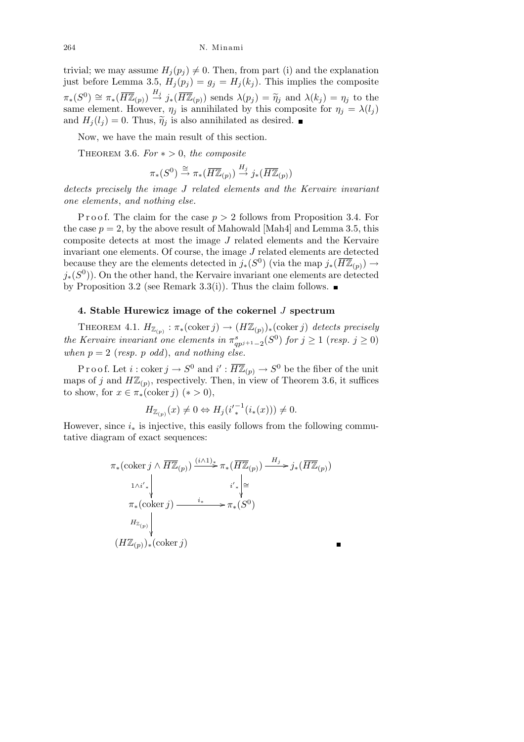trivial; we may assume  $H_i(p_i) \neq 0$ . Then, from part (i) and the explanation just before Lemma 3.5,  $H_j(p_j) = g_j = H_j(k_j)$ . This implies the composite  $\pi_*(S^0) \cong \pi_*(\overline{H\mathbb{Z}}_{(p)}) \stackrel{H_j}{\to} j_*(\overline{H\mathbb{Z}}_{(p)})$  sends  $\lambda(p_j) = \widetilde{\eta}_j$  and  $\lambda(k_j) = \eta_j$  to the same element. However,  $\eta_j$  is annihilated by this composite for  $\eta_j = \lambda(l_j)$ and  $H_i(l_i) = 0$ . Thus,  $\tilde{\eta}_i$  is also annihilated as desired.

Now, we have the main result of this section.

THEOREM 3.6.  $For * > 0$ , the composite

$$
\pi_*(S^0) \stackrel{\cong}{\to} \pi_*(\overline{H\mathbb{Z}}_{(p)}) \stackrel{H_j}{\to} j_*(\overline{H\mathbb{Z}}_{(p)})
$$

*detects precisely the image J related elements and the Kervaire invariant one elements*, *and nothing else.*

P r o o f. The claim for the case  $p > 2$  follows from Proposition 3.4. For the case  $p = 2$ , by the above result of Mahowald [Mah4] and Lemma 3.5, this composite detects at most the image *J* related elements and the Kervaire invariant one elements. Of course, the image *J* related elements are detected because they are the elements detected in  $j_*(S^0)$  (via the map  $j_*(\overline{H\mathbb{Z}}_{(p)}) \to$ *j*<sup>\*</sup>( $S$ <sup>0</sup>)). On the other hand, the Kervaire invariant one elements are detected by Proposition 3.2 (see Remark 3.3(i)). Thus the claim follows.  $\blacksquare$ 

## **4. Stable Hurewicz image of the cokernel** *J* **spectrum**

THEOREM 4.1.  $H_{\mathbb{Z}_{(p)}} : \pi_*(\text{coker } j) \to (H\mathbb{Z}_{(p)})_*(\text{coker } j)$  detects precisely *the Kervaire invariant one elements in*  $\pi_{qp^{j+1}-2}^s(S^0)$  *for*  $j \ge 1$  (*resp.*  $j \ge 0$ ) *when*  $p = 2$  (*resp. p odd*), and *nothing else.* 

Proof. Let  $i: \text{coker } j \to S^0$  and  $i': \overline{H\mathbb{Z}}_{(p)} \to S^0$  be the fiber of the unit maps of *j* and  $H\mathbb{Z}_{(p)}$ , respectively. Then, in view of Theorem 3.6, it suffices to show, for  $x \in \pi_*(\text{coker } i)$  ( $* > 0$ ),

$$
H_{\mathbb{Z}_{(p)}}(x) \neq 0 \Leftrightarrow H_j(i'^{-1}(i_*(x))) \neq 0.
$$

However, since *i<sup>∗</sup>* is injective, this easily follows from the following commutative diagram of exact sequences:

$$
\pi_*(\text{coker } j \wedge \overline{H\mathbb{Z}}_{(p)}) \xrightarrow{(i \wedge 1)_*} \pi_*(\overline{H\mathbb{Z}}_{(p)}) \xrightarrow{H_j} j_*(\overline{H\mathbb{Z}}_{(p)})
$$
\n
$$
\downarrow \qquad i'_* \downarrow \cong
$$
\n
$$
\pi_*(\text{coker } j) \xrightarrow{i_*} \pi_*(S^0)
$$
\n
$$
\downarrow H_{\mathbb{Z}_{(p)}} \downarrow
$$
\n
$$
(H\mathbb{Z}_{(p)})_*(\text{coker } j)
$$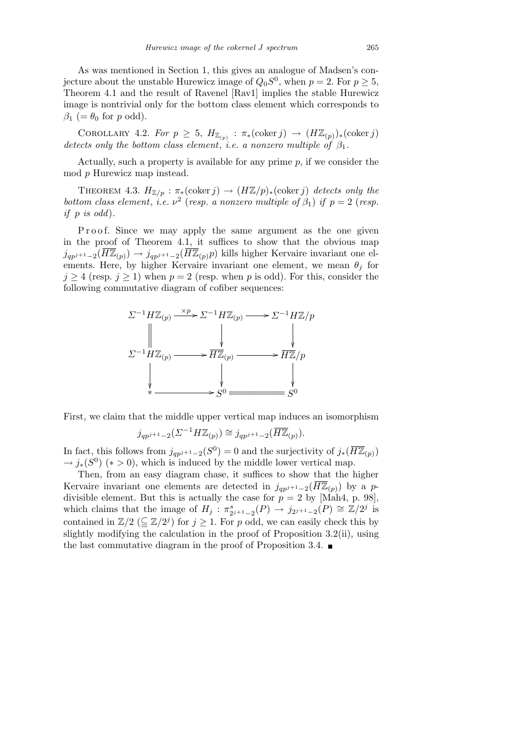As was mentioned in Section 1, this gives an analogue of Madsen's conjecture about the unstable Hurewicz image of  $Q_0S^0$ , when  $p = 2$ . For  $p \ge 5$ , Theorem 4.1 and the result of Ravenel [Rav1] implies the stable Hurewicz image is nontrivial only for the bottom class element which corresponds to  $\beta_1$  (=  $\theta_0$  for *p* odd).

COROLLARY 4.2. *For*  $p \geq 5$ ,  $H_{\mathbb{Z}_{(p)}} : \pi_*(\text{coker } j) \to (H\mathbb{Z}_{(p)})_*(\text{coker } j)$ *detects only the bottom class element*, *i.e. a nonzero multiple of β*1*.*

Actually, such a property is available for any prime *p*, if we consider the mod *p* Hurewicz map instead.

THEOREM 4.3.  $H_{\mathbb{Z}/p}: \pi_*(\text{coker } j) \to (H\mathbb{Z}/p)_*(\text{coker } j)$  detects only the *bottom class element, i.e.*  $\nu^2$  (*resp. a nonzero multiple of*  $\beta_1$ ) *if*  $p = 2$  (*resp. if p is odd*)*.*

P r o o f. Since we may apply the same argument as the one given in the proof of Theorem 4.1, it suffices to show that the obvious map *j*<sub>*qp</sub>*<sup>*j*+1</sup>−2( $H\mathbb{Z}_{(p)}$ ) → *j*<sub>*qp*</sub><sup>*j*+1−2( $H\mathbb{Z}_{(p)}$ *p*) kills higher Kervaire invariant one el-</sub></sup> ements. Here, by higher Kervaire invariant one element, we mean  $\theta_i$  for  $j \geq 4$  (resp.  $j \geq 1$ ) when  $p = 2$  (resp. when p is odd). For this, consider the following commutative diagram of cofiber sequences:



First, we claim that the middle upper vertical map induces an isomorphism

$$
j_{qp^{j+1}-2}(\varSigma^{-1}H\mathbb{Z}_{(p)}) \cong j_{qp^{j+1}-2}(\overline{H\mathbb{Z}}_{(p)}).
$$

In fact, this follows from  $j_{qp^{j+1}-2}(S^0) = 0$  and the surjectivity of  $j_*(\overline{H\mathbb{Z}}_{(p)})$  $\rightarrow$  *j*<sub>\*</sub>(*S*<sup>0</sup>) (\* > 0), which is induced by the middle lower vertical map.

Then, from an easy diagram chase, it suffices to show that the higher Kervaire invariant one elements are detected in  $j_{qp^{j+1}-2}(\overline{H\mathbb{Z}}_{(p)})$  by a *p*divisible element. But this is actually the case for  $p = 2$  by [Mah4, p. 98], which claims that the image of  $H_j$ :  $\pi_{2^{j+1}-2}^s(P) \to j_{2^{j+1}-2}(P) \cong \mathbb{Z}/2^j$  is contained in  $\mathbb{Z}/2 \ (\subseteq \mathbb{Z}/2^j)$  for  $j \geq 1$ . For p odd, we can easily check this by slightly modifying the calculation in the proof of Proposition 3.2(ii), using the last commutative diagram in the proof of Proposition 3.4.  $\blacksquare$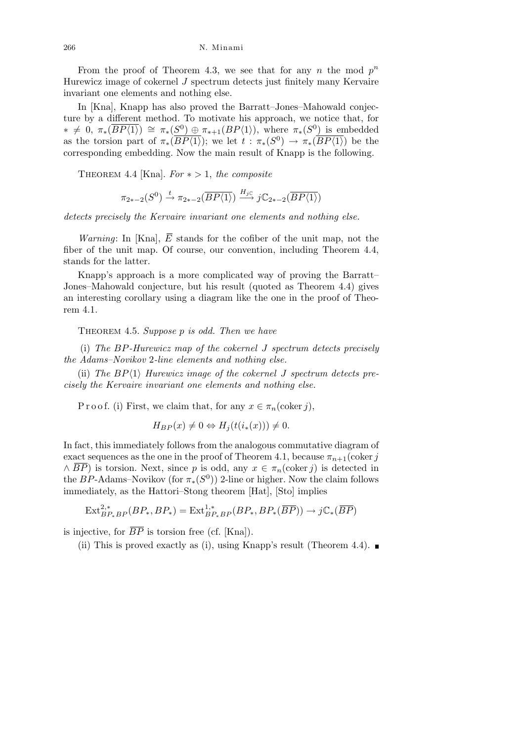266 N. Minami

From the proof of Theorem 4.3, we see that for any *n* the mod  $p^n$ Hurewicz image of cokernel *J* spectrum detects just finitely many Kervaire invariant one elements and nothing else.

In [Kna], Knapp has also proved the Barratt–Jones–Mahowald conjecture by a different method. To motivate his approach, we notice that, for  $* \neq 0$ ,  $\pi_*(\overline{BP\langle 1 \rangle}) \cong \pi_*(S^0) \oplus \pi_{*+1}(BP\langle 1 \rangle)$ , where  $\pi_*(S^0)$  is embedded as the torsion part of  $\pi_*(\overline{BP\langle 1 \rangle})$ ; we let  $t : \pi_*(S^0) \to \pi_*(\overline{BP\langle 1 \rangle})$  be the corresponding embedding. Now the main result of Knapp is the following.

THEOREM 4.4 [Kna].  $For \times > 1$ , the composite

$$
\pi_{2*-2}(S^0) \xrightarrow{t} \pi_{2*-2}(\overline{BP\langle 1\rangle}) \xrightarrow{H_{j\mathbb{C}}} j\mathbb{C}_{2*-2}(\overline{BP\langle 1\rangle})
$$

*detects precisely the Kervaire invariant one elements and nothing else.*

*Warning*: In [Kna],  $\overline{E}$  stands for the cofiber of the unit map, not the fiber of the unit map. Of course, our convention, including Theorem 4.4, stands for the latter.

Knapp's approach is a more complicated way of proving the Barratt– Jones–Mahowald conjecture, but his result (quoted as Theorem 4.4) gives an interesting corollary using a diagram like the one in the proof of Theorem 4.1.

Theorem 4.5. *Suppose p is odd. Then we have*

(i) *The BP-Hurewicz map of the cokernel J spectrum detects precisely the Adams–Novikov* 2*-line elements and nothing else.*

(ii) *The BP* $\langle 1 \rangle$  *Hurewicz image of the cokernel J spectrum detects precisely the Kervaire invariant one elements and nothing else.*

P r o o f. (i) First, we claim that, for any  $x \in \pi_n(\text{coker } j)$ ,

$$
H_{BP}(x) \neq 0 \Leftrightarrow H_j(t(i_*(x))) \neq 0.
$$

In fact, this immediately follows from the analogous commutative diagram of exact sequences as the one in the proof of Theorem 4.1, because  $\pi_{n+1}$ (coker *j*  $\land$  *BP*) is torsion. Next, since *p* is odd, any  $x \in \pi_n(\text{coker } j)$  is detected in the *BP*-Adams–Novikov (for  $\pi_*(S^0)$ ) 2-line or higher. Now the claim follows immediately, as the Hattori–Stong theorem [Hat], [Sto] implies

$$
\text{Ext}^{2,*}_{BP_*BP}(BP_*,BP_*) = \text{Ext}^{1,*}_{BP_*BP}(BP_*,BP_*(\overline{BP})) \to j\mathbb{C}_*(\overline{BP})
$$

is injective, for  $\overline{BP}$  is torsion free (cf. [Kna]).

(ii) This is proved exactly as (i), using Knapp's result (Theorem 4.4).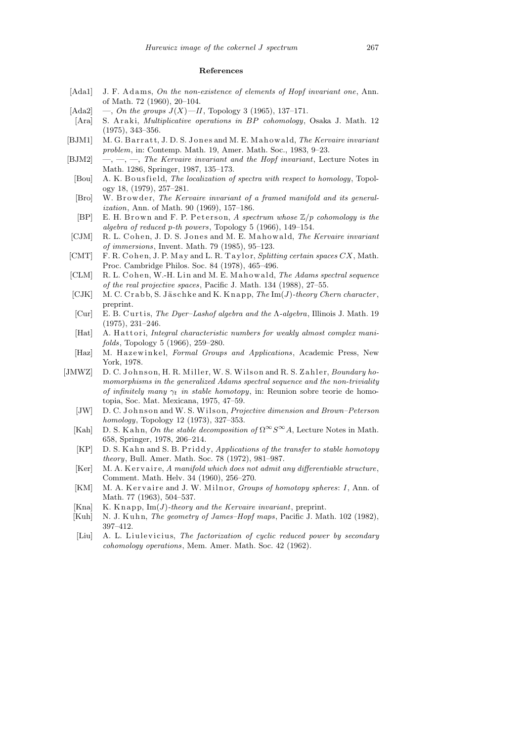## **References**

- [Ada1] J. F. Adams, *On the non-existence of elements of Hopf invariant one*, Ann. of Math. 72 (1960), 20–104.
- [Ada2] —, *On the groups*  $J(X)$ —*II*, Topology 3 (1965), 137–171.
- [Ara] S. A r a ki, *Multiplicative operations in BP cohomology*, Osaka J. Math. 12 (1975), 343–356.
- [BJM1] M. G. Barratt, J. D. S. Jones and M. E. Mahowald, *The Kervaire invariant problem*, in: Contemp. Math. 19, Amer. Math. Soc., 1983, 9–23.
- [BJM2] —, —, —, *The Kervaire invariant and the Hopf invariant*, Lecture Notes in Math. 1286, Springer, 1987, 135–173.
	- [Bou] A. K. Bousfield, *The localization of spectra with respect to homology*, Topology 18, (1979), 257–281.
	- [Bro] W. Browder, *The Kervaire invariant of a framed manifold and its generalization*, Ann. of Math. 90 (1969), 157–186.
	- [BP] E. H. Brown and F. P. Peterson, *A spectrum whose*  $\mathbb{Z}/p$  *cohomology is the algebra of reduced p-th powers*, Topology 5 (1966), 149–154.
- [CJM] R. L. Cohen, J. D. S. Jones and M. E. Mahowald, *The Kervaire invariant of immersions*, Invent. Math. 79 (1985), 95–123.
- [CMT] F. R. Cohen, J. P. May and L. R. Taylor, *Splitting certain spaces CX*, Math. Proc. Cambridge Philos. Soc. 84 (1978), 465–496.
- [CLM] R. L. Cohen, W.-H. Lin and M. E. Mahowald, *The Adams spectral sequence of the real projective spaces*, Pacific J. Math. 134 (1988), 27–55.
- [CJK] M. C. Crabb, S. Jäschke and K. Knapp, *The* Im(*J*)-theory Chern character, preprint.
- [Cur] E. B. C u r ti s, *The Dyer–Lashof algebra and the* Λ*-algebra*, Illinois J. Math. 19 (1975), 231–246.
- [Hat] A. Hattori, *Integral characteristic numbers for weakly almost complex manifolds*, Topology 5 (1966), 259–280.
- [Haz] M. H a z ewi n k el, *Formal Groups and Applications*, Academic Press, New York, 1978.
- [JMWZ] D. C. Johnson, H. R. Miller, W. S. Wilson and R. S. Zahler, *Boundary homomorphisms in the generalized Adams spectral sequence and the non-triviality of infinitely many*  $\gamma_t$  *in stable homotopy*, in: Reunion sobre teorie de homotopia, Soc. Mat. Mexicana, 1975, 47–59.
	- [JW] D. C. Johnson and W. S. Wilson, *Projective dimension and Brown–Peterson homology*, Topology 12 (1973), 327–353.
	- [Kah] D. S. Kahn, *On the stable decomposition of*  $\Omega^{\infty} S^{\infty} A$ , Lecture Notes in Math. 658, Springer, 1978, 206–214.
	- [KP] D. S. K a h n and S. B. P riddy, *Applications of the transfer to stable homotopy theory*, Bull. Amer. Math. Soc. 78 (1972), 981–987.
	- [Ker] M. A. K ervaire, *A manifold which does not admit any differentiable structure*, Comment. Math. Helv. 34 (1960), 256–270.
	- [KM] M. A. Kervaire and J. W. Milnor, *Groups of homotopy spheres*: *I*, Ann. of Math. 77 (1963), 504–537.
	- [Kna] K. Knapp,  $Im(J)$ -theory and the Kervaire invariant, preprint.
	- [Kuh] N. J. Kuhn, *The geometry of James–Hopf maps*, Pacific J. Math. 102 (1982), 397–412.
	- [Liu] A. L. Liulevicius, *The factorization of cyclic reduced power by secondary cohomology operations*, Mem. Amer. Math. Soc. 42 (1962).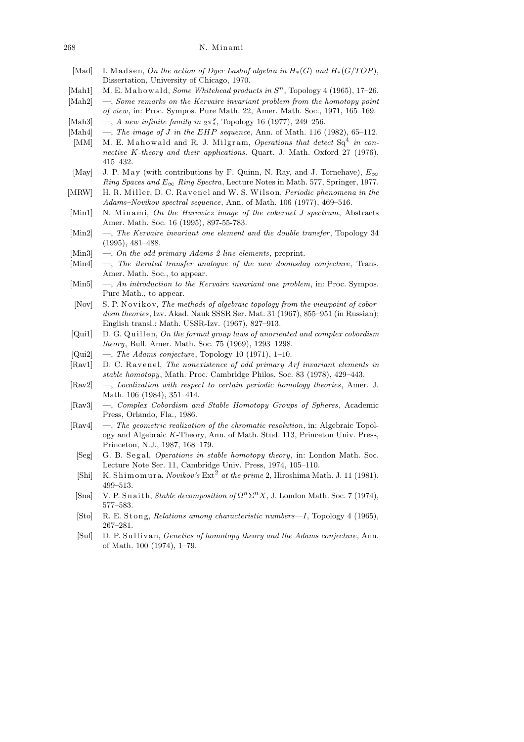- [Mad] I. Madsen, *On the action of Dyer Lashof algebra in*  $H_*(G)$  and  $H_*(G/TOP)$ , Dissertation, University of Chicago, 1970.
- [Mah1] M. E. Mahowald, *Some Whitehead products in*  $S<sup>n</sup>$ , Topology 4 (1965), 17–26.
- [Mah2] —, *Some remarks on the Kervaire invariant problem from the homotopy point of view*, in: Proc. Sympos. Pure Math. 22, Amer. Math. Soc., 1971, 165–169.
- [Mah3] —, *A new infinite family in*  $_{2}\pi^{s}_{*}$ , Topology 16 (1977), 249-256.
- [Mah4] —, *The image of J in the EHP sequence*, Ann. of Math. 116 (1982), 65-112.
- [MM] M. E. Mahowald and R. J. Milgram, *Operations that detect* Sq<sup>4</sup> in con*nective K-theory and their applications*, Quart. J. Math. Oxford 27 (1976), 415–432.
- [May] J. P. May (with contributions by F. Quinn, N. Ray, and J. Tornehave),  $E_{\infty}$ *Ring Spaces and E∞ Ring Spectra*, Lecture Notes in Math. 577, Springer, 1977.
- [MRW] H. R. Miller, D. C. Ravenel and W. S. Wilson, *Periodic phenomena in the Adams–Novikov spectral sequence*, Ann. of Math. 106 (1977), 469–516.
- [Min1] N. Minami, *On the Hurewicz image of the cokernel J spectrum*, Abstracts Amer. Math. Soc. 16 (1995), 897-55-783.
- [Min2] —, *The Kervaire invariant one element and the double transfer* , Topology 34 (1995), 481–488.
- [Min3] —, *On the odd primary Adams 2-line elements*, preprint.
- [Min4] —, *The iterated transfer analogue of the new doomsday conjecture*, Trans. Amer. Math. Soc., to appear.
- [Min5] —, *An introduction to the Kervaire invariant one problem*, in: Proc. Sympos. Pure Math., to appear.
- [Nov] S. P. Novikov, *The methods of algebraic topology from the viewpoint of cobordism theories*, Izv. Akad. Nauk SSSR Ser. Mat. 31 (1967), 855–951 (in Russian); English transl.: Math. USSR-Izv. (1967), 827–913.
- [Qui1] D. G. Quillen, *On the formal group laws of unoriented and complex cobordism theory*, Bull. Amer. Math. Soc. 75 (1969), 1293–1298.
- [Qui2] —, *The Adams conjecture*, Topology 10 (1971), 1–10.
- [Rav1] D. C. Ravenel, *The nonexistence of odd primary Arf invariant elements in stable homotopy*, Math. Proc. Cambridge Philos. Soc. 83 (1978), 429–443.
- [Rav2] —, *Localization with respect to certain periodic homology theories*, Amer. J. Math. 106 (1984), 351–414.
- [Rav3] —, *Complex Cobordism and Stable Homotopy Groups of Spheres*, Academic Press, Orlando, Fla., 1986.
- [Rav4] —, *The geometric realization of the chromatic resolution*, in: Algebraic Topology and Algebraic *K*-Theory, Ann. of Math. Stud. 113, Princeton Univ. Press, Princeton, N.J., 1987, 168–179.
- [Seg] G. B. S e g al, *Operations in stable homotopy theory*, in: London Math. Soc. Lecture Note Ser. 11, Cambridge Univ. Press, 1974, 105–110.
- [Shi] K. Shimomura, *Novikov's* Ext<sup>2</sup> at the prime 2, Hiroshima Math. J. 11 (1981), 499–513.
- [Sna] V. P. Snaith, *Stable decomposition of*  $\Omega^n \Sigma^n X$ , J. London Math. Soc. 7 (1974), 577–583.
- [Sto] R. E. Stong, *Relations among characteristic numbers—I*, Topology 4 (1965), 267–281.
- [Sul] D. P. Sullivan, *Genetics of homotopy theory and the Adams conjecture*, Ann. of Math. 100 (1974), 1–79.

<sup>268</sup> N. Minami